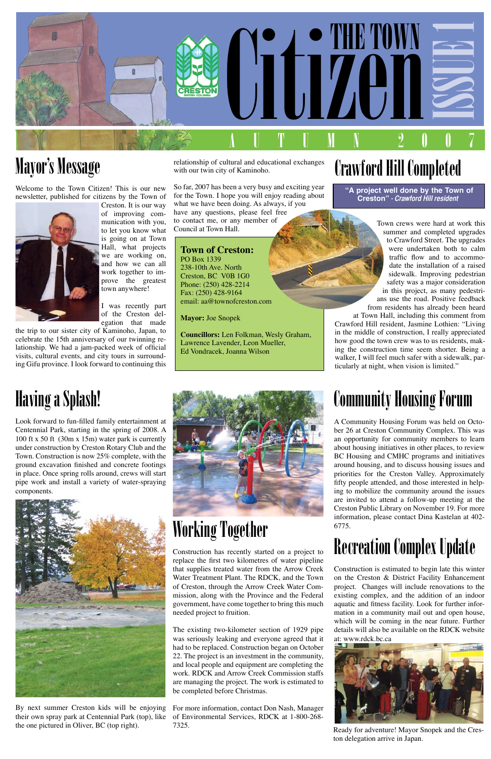

#### Mayor's Message

Welcome to the Town Citizen! This is our new newsletter, published for citizens by the Town of



Creston. It is our way of improving communication with you, to let you know what is going on at Town Hall, what projects we are working on, and how we can all work together to improve the greatest town anywhere!

I was recently part of the Creston delegation that made

the trip to our sister city of Kaminoho, Japan, to celebrate the 15th anniversary of our twinning relationship. We had a jam-packed week of official visits, cultural events, and city tours in surrounding Gifu province. I look forward to continuing this

# Crawford Hill Completed

Town crews were hard at work this summer and completed upgrades to Crawford Street. The upgrades were undertaken both to calm traffic flow and to accommodate the installation of a raised sidewalk. Improving pedestrian safety was a major consideration in this project, as many pedestrians use the road. Positive feedback from residents has already been heard

at Town Hall, including this comment from Crawford Hill resident, Jasmine Lothien: "Living in the middle of construction, I really appreciated how good the town crew was to us residents, making the construction time seem shorter. Being a walker, I will feel much safer with a sidewalk, particularly at night, when vision is limited."

relationship of cultural and educational exchanges with our twin city of Kaminoho.

So far, 2007 has been a very busy and exciting year for the Town. I hope you will enjoy reading about what we have been doing. As always, if you have any questions, please feel free to contact me, or any member of Council at Town Hall.

#### **Town of Creston:**

PO Box 1339 238-10th Ave. North Creston, BC V0B 1G0 Phone: (250) 428-2214 Fax: (250) 428-9164 email: aa@townofcreston.com

**Mayor:** Joe Snopek

I

**Councillors:** Len Folkman, Wesly Graham, Lawrence Lavender, Leon Mueller, Ed Vondracek, Joanna Wilson

# Having a Splash!

Look forward to fun-filled family entertainment at Centennial Park, starting in the spring of 2008. A 100 ft x 50 ft (30m x 15m) water park is currently under construction by Creston Rotary Club and the Town. Construction is now 25% complete, with the ground excavation finished and concrete footings in place. Once spring rolls around, crews will start pipe work and install a variety of water-spraying components.





By next summer Creston kids will be enjoying their own spray park at Centennial Park (top), like the one pictured in Oliver, BC (top right).

# Community Housing Forum

A Community Housing Forum was held on October 26 at Creston Community Complex. This was an opportunity for community members to learn about housing initiatives in other places, to review BC Housing and CMHC programs and initiatives around housing, and to discuss housing issues and priorities for the Creston Valley. Approximately fifty people attended, and those interested in helping to mobilize the community around the issues are invited to attend a follow-up meeting at the Creston Public Library on November 19. For more information, please contact Dina Kastelan at 402- 6775.

#### Recreation Complex Update

Construction is estimated to begin late this winter on the Creston & District Facility Enhancement project. Changes will include renovations to the existing complex, and the addition of an indoor aquatic and fitness facility. Look for further information in a community mail out and open house, which will be coming in the near future. Further details will also be available on the RDCK website at: www.rdck.bc.ca

# Working Together

Construction has recently started on a project to

replace the first two kilometres of water pipeline that supplies treated water from the Arrow Creek Water Treatment Plant. The RDCK, and the Town of Creston, through the Arrow Creek Water Commission, along with the Province and the Federal government, have come together to bring this much needed project to fruition.

The existing two-kilometer section of 1929 pipe was seriously leaking and everyone agreed that it had to be replaced. Construction began on October 22. The project is an investment in the community, and local people and equipment are completing the work. RDCK and Arrow Creek Commission staffs are managing the project. The work is estimated to be completed before Christmas.

For more information, contact Don Nash, Manager of Environmental Services, RDCK at 1-800-268- 7325.

 **"A project well done by the Town of Creston" - Crawford Hill resident**



Ready for adventure! Mayor Snopek and the Creston delegation arrive in Japan.